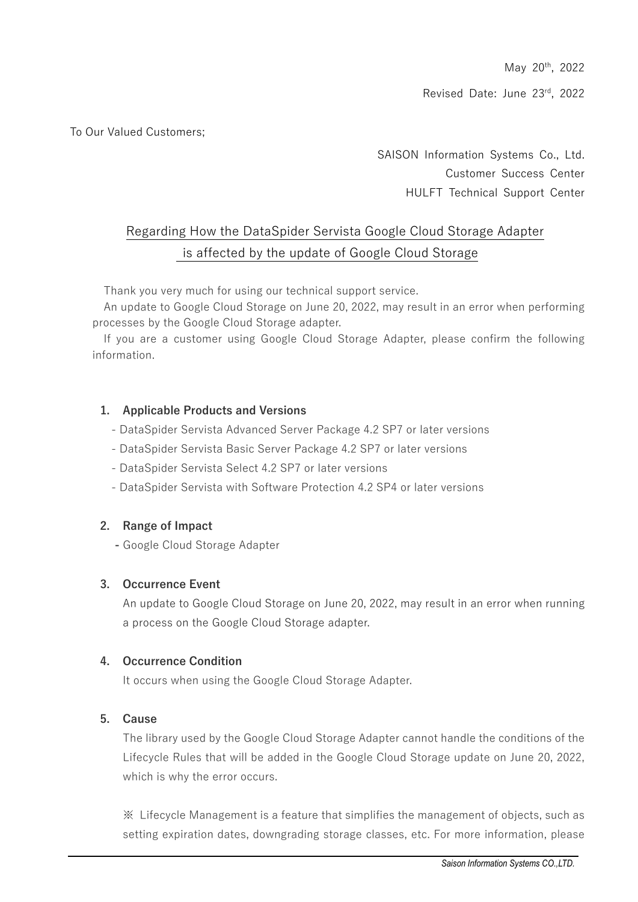May 20th, 2022

Revised Date: June 23rd, 2022

To Our Valued Customers;

SAISON Information Systems Co., Ltd. Customer Success Center HULFT Technical Support Center

# Regarding How the DataSpider Servista Google Cloud Storage Adapter is affected by the update of Google Cloud Storage

Thank you very much for using our technical support service.

An update to Google Cloud Storage on June 20, 2022, may result in an error when performing processes by the Google Cloud Storage adapter.

If you are a customer using Google Cloud Storage Adapter, please confirm the following information.

## **1. Applicable Products and Versions**

- DataSpider Servista Advanced Server Package 4.2 SP7 or later versions
- DataSpider Servista Basic Server Package 4.2 SP7 or later versions
- DataSpider Servista Select 4.2 SP7 or later versions
- DataSpider Servista with Software Protection 4.2 SP4 or later versions

#### **2. Range of Impact**

**-** Google Cloud Storage Adapter

### **3. Occurrence Event**

An update to Google Cloud Storage on June 20, 2022, may result in an error when running a process on the Google Cloud Storage adapter.

#### **4. Occurrence Condition**

It occurs when using the Google Cloud Storage Adapter.

#### **5. Cause**

The library used by the Google Cloud Storage Adapter cannot handle the conditions of the Lifecycle Rules that will be added in the Google Cloud Storage update on June 20, 2022, which is why the error occurs.

※ Lifecycle Management is a feature that simplifies the management of objects, such as setting expiration dates, downgrading storage classes, etc. For more information, please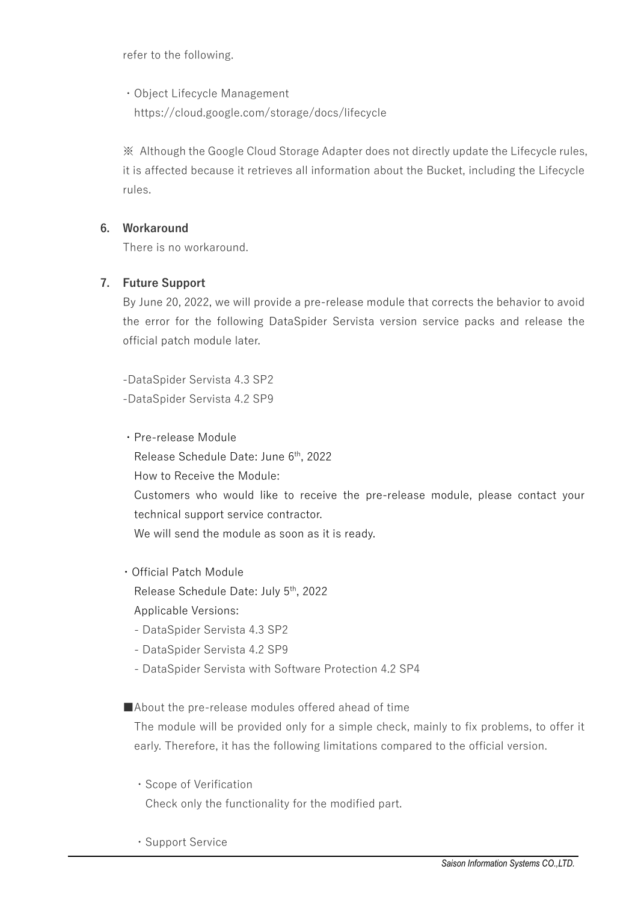refer to the following.

・Object Lifecycle Management https://cloud.google.com/storage/docs/lifecycle

※ Although the Google Cloud Storage Adapter does not directly update the Lifecycle rules, it is affected because it retrieves all information about the Bucket, including the Lifecycle rules.

## **6. Workaround**

There is no workaround.

## **7. Future Support**

By June 20, 2022, we will provide a pre-release module that corrects the behavior to avoid the error for the following DataSpider Servista version service packs and release the official patch module later.

-DataSpider Servista 4.3 SP2 -DataSpider Servista 4.2 SP9

- ・Pre-release Module Release Schedule Date: June 6<sup>th</sup>, 2022 How to Receive the Module: Customers who would like to receive the pre-release module, please contact your technical support service contractor. We will send the module as soon as it is ready.
- ・Official Patch Module Release Schedule Date: July 5<sup>th</sup>, 2022 Applicable Versions:
	- DataSpider Servista 4.3 SP2
	- DataSpider Servista 4.2 SP9
	- DataSpider Servista with Software Protection 4.2 SP4

■About the pre-release modules offered ahead of time

The module will be provided only for a simple check, mainly to fix problems, to offer it early. Therefore, it has the following limitations compared to the official version.

- ・Scope of Verification Check only the functionality for the modified part.
- ・Support Service